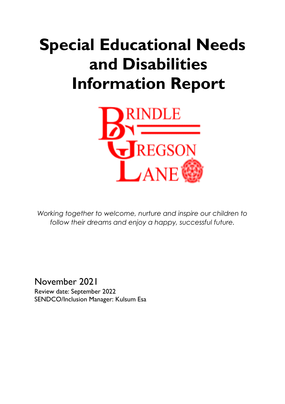# **Special Educational Needs and Disabilities Information Report**



*Working together to welcome, nurture and inspire our children to follow their dreams and enjoy a happy, successful future.*

November 2021 Review date: September 2022 SENDCO/Inclusion Manager: Kulsum Esa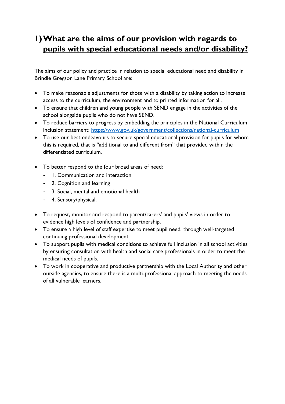## **1)What are the aims of our provision with regards to pupils with special educational needs and/or disability?**

The aims of our policy and practice in relation to special educational need and disability in Brindle Gregson Lane Primary School are:

- To make reasonable adjustments for those with a disability by taking action to increase access to the curriculum, the environment and to printed information for all.
- To ensure that children and young people with SEND engage in the activities of the school alongside pupils who do not have SEND.
- To reduce barriers to progress by embedding the principles in the National Curriculum Inclusion statement:<https://www.gov.uk/government/collections/national-curriculum>
- To use our best endeavours to secure special educational provision for pupils for whom this is required, that is "additional to and different from" that provided within the differentiated curriculum.
- To better respond to the four broad areas of need:
	- 1. Communication and interaction
	- 2. Cognition and learning
	- 3. Social, mental and emotional health
	- 4. Sensory/physical.
- To request, monitor and respond to parent/carers' and pupils' views in order to evidence high levels of confidence and partnership.
- To ensure a high level of staff expertise to meet pupil need, through well-targeted continuing professional development.
- To support pupils with medical conditions to achieve full inclusion in all school activities by ensuring consultation with health and social care professionals in order to meet the medical needs of pupils.
- To work in cooperative and productive partnership with the Local Authority and other outside agencies, to ensure there is a multi-professional approach to meeting the needs of all vulnerable learners.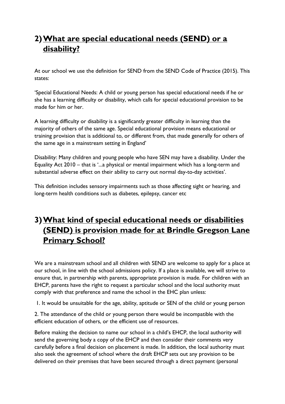# **2)What are special educational needs (SEND) or a disability?**

At our school we use the definition for SEND from the SEND Code of Practice (2015). This states:

'Special Educational Needs: A child or young person has special educational needs if he or she has a learning difficulty or disability, which calls for special educational provision to be made for him or her.

A learning difficulty or disability is a significantly greater difficulty in learning than the majority of others of the same age. Special educational provision means educational or training provision that is additional to, or different from, that made generally for others of the same age in a mainstream setting in England'

Disability: Many children and young people who have SEN may have a disability. Under the Equality Act 2010 – that is '...a physical or mental impairment which has a long-term and substantial adverse effect on their ability to carry out normal day-to-day activities'.

This definition includes sensory impairments such as those affecting sight or hearing, and long-term health conditions such as diabetes, epilepsy, cancer etc

## **3)What kind of special educational needs or disabilities (SEND) is provision made for at Brindle Gregson Lane Primary School?**

We are a mainstream school and all children with SEND are welcome to apply for a place at our school, in line with the school admissions policy. If a place is available, we will strive to ensure that, in partnership with parents, appropriate provision is made. For children with an EHCP, parents have the right to request a particular school and the local authority must comply with that preference and name the school in the EHC plan unless:

1. It would be unsuitable for the age, ability, aptitude or SEN of the child or young person

2. The attendance of the child or young person there would be incompatible with the efficient education of others, or the efficient use of resources.

Before making the decision to name our school in a child's EHCP, the local authority will send the governing body a copy of the EHCP and then consider their comments very carefully before a final decision on placement is made. In addition, the local authority must also seek the agreement of school where the draft EHCP sets out any provision to be delivered on their premises that have been secured through a direct payment (personal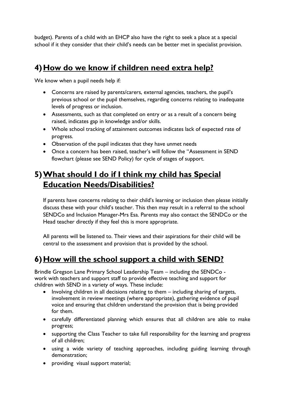budget). Parents of a child with an EHCP also have the right to seek a place at a special school if it they consider that their child's needs can be better met in specialist provision.

#### **4) How do we know if children need extra help?**

We know when a pupil needs help if:

- Concerns are raised by parents/carers, external agencies, teachers, the pupil's previous school or the pupil themselves, regarding concerns relating to inadequate levels of progress or inclusion.
- Assessments, such as that completed on entry or as a result of a concern being raised, indicates gap in knowledge and/or skills.
- Whole school tracking of attainment outcomes indicates lack of expected rate of progress.
- Observation of the pupil indicates that they have unmet needs
- Once a concern has been raised, teacher's will follow the "Assessment in SEND flowchart (please see SEND Policy) for cycle of stages of support.

## **5)What should I do if I think my child has Special Education Needs/Disabilities?**

If parents have concerns relating to their child's learning or inclusion then please initially discuss these with your child's teacher. This then may result in a referral to the school SENDCo and Inclusion Manager-Mrs Esa. Parents may also contact the SENDCo or the Head teacher directly if they feel this is more appropriate.

All parents will be listened to. Their views and their aspirations for their child will be central to the assessment and provision that is provided by the school.

# **6)How will the school support a child with SEND?**

Brindle Gregson Lane Primary School Leadership Team – including the SENDCo work with teachers and support staff to provide effective teaching and support for children with SEND in a variety of ways. These include:

- Involving children in all decisions relating to them including sharing of targets, involvement in review meetings (where appropriate), gathering evidence of pupil voice and ensuring that children understand the provision that is being provided for them.
- carefully differentiated planning which ensures that all children are able to make progress;
- supporting the Class Teacher to take full responsibility for the learning and progress of all children;
- using a wide variety of teaching approaches, including guiding learning through demonstration;
- providing visual support material;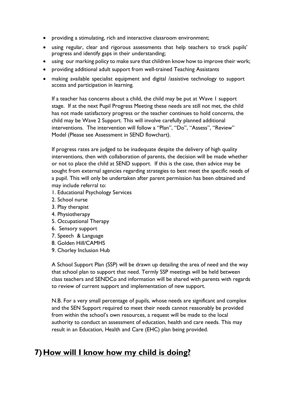- providing a stimulating, rich and interactive classroom environment;
- using regular, clear and rigorous assessments that help teachers to track pupils' progress and identify gaps in their understanding;
- using our marking policy to make sure that children know how to improve their work;
- providing additional adult support from well-trained Teaching Assistants
- making available specialist equipment and digital /assistive technology to support access and participation in learning.

If a teacher has concerns about a child, the child may be put at Wave 1 support stage. If at the next Pupil Progress Meeting these needs are still not met, the child has not made satisfactory progress or the teacher continues to hold concerns, the child may be Wave 2 Support. This will involve carefully planned additional interventions. The intervention will follow a "Plan", "Do", "Assess", "Review" Model (Please see Assessment in SEND flowchart).

If progress rates are judged to be inadequate despite the delivery of high quality interventions, then with collaboration of parents, the decision will be made whether or not to place the child at SEND support. If this is the case, then advice may be sought from external agencies regarding strategies to best meet the specific needs of a pupil. This will only be undertaken after parent permission has been obtained and may include referral to:

- 1. Educational Psychology Services
- 2. School nurse
- 3. Play therapist
- 4. Physiotherapy
- 5. Occupational Therapy
- 6. Sensory support
- 7. Speech & Language
- 8. Golden Hill/CAMHS
- 9. Chorley Inclusion Hub

A School Support Plan (SSP) will be drawn up detailing the area of need and the way that school plan to support that need. Termly SSP meetings will be held between class teachers and SENDCo and information will be shared with parents with regards to review of current support and implementation of new support.

N.B. For a very small percentage of pupils, whose needs are significant and complex and the SEN Support required to meet their needs cannot reasonably be provided from within the school's own resources, a request will be made to the local authority to conduct an assessment of education, health and care needs. This may result in an Education, Health and Care (EHC) plan being provided.

#### **7)How will I know how my child is doing?**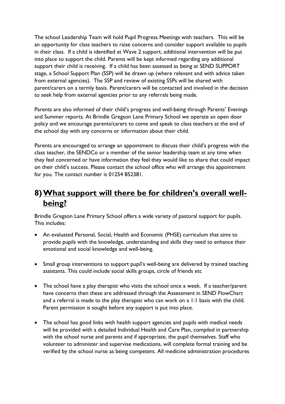The school Leadership Team will hold Pupil Progress Meetings with teachers. This will be an opportunity for class teachers to raise concerns and consider support available to pupils in their class. If a child is identified at Wave 2 support, additional intervention will be put into place to support the child. Parents will be kept informed regarding any additional support their child is receiving. If a child has been assessed as being at SEND SUPPORT stage, a School Support Plan (SSP) will be drawn up (where relevant and with advice taken from external agencies). The SSP and review of existing SSPs will be shared with parent/carers on a termly basis. Parent/carers will be contacted and involved in the decision to seek help from external agencies prior to any referrals being made.

Parents are also informed of their child's progress and well-being through Parents' Evenings and Summer reports. At Brindle Gregson Lane Primary School we operate an open door policy and we encourage parents/carers to come and speak to class teachers at the end of the school day with any concerns or information about their child.

Parents are encouraged to arrange an appointment to discuss their child's progress with the class teacher, the SENDCo or a member of the senior leadership team at any time when they feel concerned or have information they feel they would like to share that could impact on their child's success. Please contact the school office who will arrange this appointment for you. The contact number is 01254 852381.

## **8)What support will there be for children's overall wellbeing?**

Brindle Gregson Lane Primary School offers a wide variety of pastoral support for pupils. This includes:

- An evaluated Personal, Social, Health and Economic (PHSE) curriculum that aims to provide pupils with the knowledge, understanding and skills they need to enhance their emotional and social knowledge and well-being.
- Small group interventions to support pupil's well-being are delivered by trained teaching assistants. This could include social skills groups, circle of friends etc
- The school have a play therapist who visits the school once a week. If a teacher/parent have concerns then these are addressed through the Assessment in SEND FlowChart and a referral is made to the play therapist who can work on a 1:1 basis with the child. Parent permission is sought before any support is put into place.
- The school has good links with health support agencies and pupils with medical needs will be provided with a detailed Individual Health and Care Plan, compiled in partnership with the school nurse and parents and if appropriate, the pupil themselves. Staff who volunteer to administer and supervise medications, will complete formal training and be verified by the school nurse as being competent. All medicine administration procedures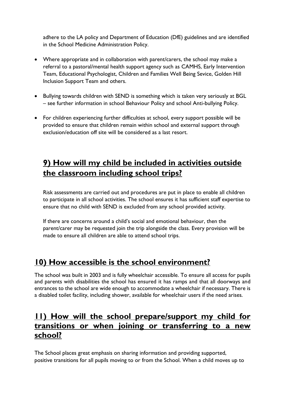adhere to the LA policy and Department of Education (DfE) guidelines and are identified in the School Medicine Administration Policy.

- Where appropriate and in collaboration with parent/carers, the school may make a referral to a pastoral/mental health support agency such as CAMHS, Early Intervention Team, Educational Psychologist, Children and Families Well Being Sevice, Golden Hill Inclusion Support Team and others.
- Bullying towards children with SEND is something which is taken very seriously at BGL – see further information in school Behaviour Policy and school Anti-bullying Policy.
- For children experiencing further difficulties at school, every support possible will be provided to ensure that children remain within school and external support through exclusion/education off site will be considered as a last resort.

## **9) How will my child be included in activities outside the classroom including school trips?**

Risk assessments are carried out and procedures are put in place to enable all children to participate in all school activities. The school ensures it has sufficient staff expertise to ensure that no child with SEND is excluded from any school provided activity.

If there are concerns around a child's social and emotional behaviour, then the parent/carer may be requested join the trip alongside the class. Every provision will be made to ensure all children are able to attend school trips.

### **10) How accessible is the school environment?**

The school was built in 2003 and is fully wheelchair accessible. To ensure all access for pupils and parents with disabilities the school has ensured it has ramps and that all doorways and entrances to the school are wide enough to accommodate a wheelchair if necessary. There is a disabled toilet facility, including shower, available for wheelchair users if the need arises.

#### **11) How will the school prepare/support my child for transitions or when joining or transferring to a new school?**

The School places great emphasis on sharing information and providing supported, positive transitions for all pupils moving to or from the School. When a child moves up to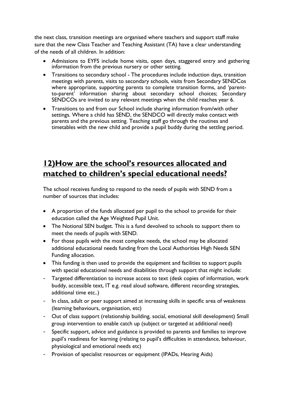the next class, transition meetings are organised where teachers and support staff make sure that the new Class Teacher and Teaching Assistant (TA) have a clear understanding of the needs of all children. In addition:

- Admissions to EYFS include home visits, open days, staggered entry and gathering information from the previous nursery or other setting.
- Transitions to secondary school The procedures include induction days, transition meetings with parents, visits to secondary schools, visits from Secondary SENDCos where appropriate, supporting parents to complete transition forms, and 'parentto-parent' information sharing about secondary school choices; Secondary SENDCOs are invited to any relevant meetings when the child reaches year 6.
- Transitions to and from our School include sharing information from/with other settings. Where a child has SEND, the SENDCO will directly make contact with parents and the previous setting. Teaching staff go through the routines and timetables with the new child and provide a pupil buddy during the settling period.

### **12)How are the school's resources allocated and matched to children's special educational needs?**

The school receives funding to respond to the needs of pupils with SEND from a number of sources that includes:

- A proportion of the funds allocated per pupil to the school to provide for their education called the Age Weighted Pupil Unit.
- The Notional SEN budget. This is a fund devolved to schools to support them to meet the needs of pupils with SEND.
- For those pupils with the most complex needs, the school may be allocated additional educational needs funding from the Local Authorities High Needs SEN Funding allocation.
- This funding is then used to provide the equipment and facilities to support pupils with special educational needs and disabilities through support that might include:
- Targeted differentiation to increase access to text (desk copies of information, work buddy, accessible text, IT e.g. read aloud software, different recording strategies, additional time etc..)
- In class, adult or peer support aimed at increasing skills in specific area of weakness (learning behaviours, organisation, etc)
- Out of class support (relationship building, social, emotional skill development) Small group intervention to enable catch up (subject or targeted at additional need)
- Specific support, advice and guidance is provided to parents and families to improve pupil's readiness for learning (relating to pupil's difficulties in attendance, behaviour, physiological and emotional needs etc)
- Provision of specialist resources or equipment (IPADs, Hearing Aids)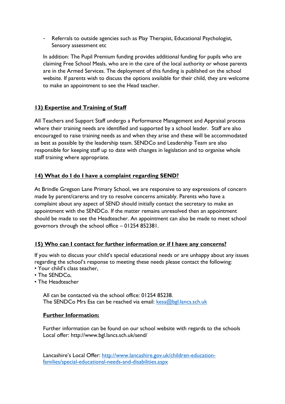- Referrals to outside agencies such as Play Therapist, Educational Psychologist, Sensory assessment etc

In addition: The Pupil Premium funding provides additional funding for pupils who are claiming Free School Meals, who are in the care of the local authority or whose parents are in the Armed Services. The deployment of this funding is published on the school website. If parents wish to discuss the options available for their child, they are welcome to make an appointment to see the Head teacher.

#### **13) Expertise and Training of Staff**

All Teachers and Support Staff undergo a Performance Management and Appraisal process where their training needs are identified and supported by a school leader. Staff are also encouraged to raise training needs as and when they arise and these will be accommodated as best as possible by the leadership team. SENDCo and Leadership Team are also responsible for keeping staff up to date with changes in legislation and to organise whole staff training where appropriate.

#### **14) What do I do I have a complaint regarding SEND?**

At Brindle Gregson Lane Primary School, we are responsive to any expressions of concern made by parent/carerss and try to resolve concerns amicably. Parents who have a complaint about any aspect of SEND should initially contact the secretary to make an appointment with the SENDCo. If the matter remains unresolved then an appointment should be made to see the Headteacher. An appointment can also be made to meet school governors through the school office – 01254 852381.

#### **15) Who can I contact for further information or if I have any concerns?**

If you wish to discuss your child's special educational needs or are unhappy about any issues regarding the school's response to meeting these needs please contact the following:

- Your child's class teacher,
- The SENDCo,
- The Headteacher

All can be contacted via the school office: 01254 85238. The SENDCo Mrs Esa can be reached via email: [kesa@bgl.lancs.sch.uk](mailto:kesa@bgl.lancs.sch.uk)

#### **Further Information:**

Further information can be found on our school website with regards to the schools Local offer: http://www.bgl.lancs.sch.uk/send/

Lancashire's Local Offer: [http://www.lancashire.gov.uk/children-education](http://www.lancashire.gov.uk/children-education-families/special-educational-needs-and-disabilities.aspx)[families/special-educational-needs-and-disabilities.aspx](http://www.lancashire.gov.uk/children-education-families/special-educational-needs-and-disabilities.aspx)